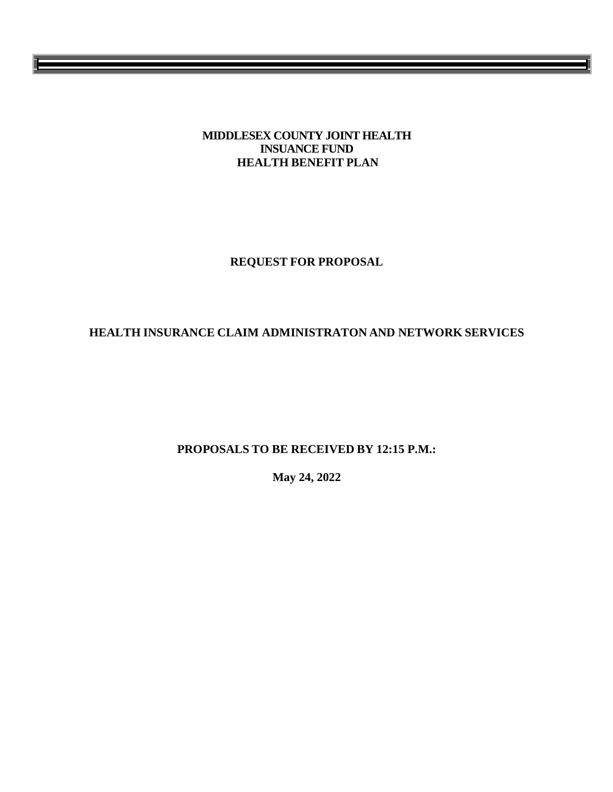### **MIDDLESEX COUNTY JOINT HEALTH INSUANCE FUND HEALTH BENEFIT PLAN**

**REQUEST FOR PROPOSAL** 

# **HEALTH INSURANCE CLAIM ADMINISTRATON AND NETWORK SERVICES**

**PROPOSALS TO BE RECEIVED BY 12:15 P.M.:**

**May 24, 2022**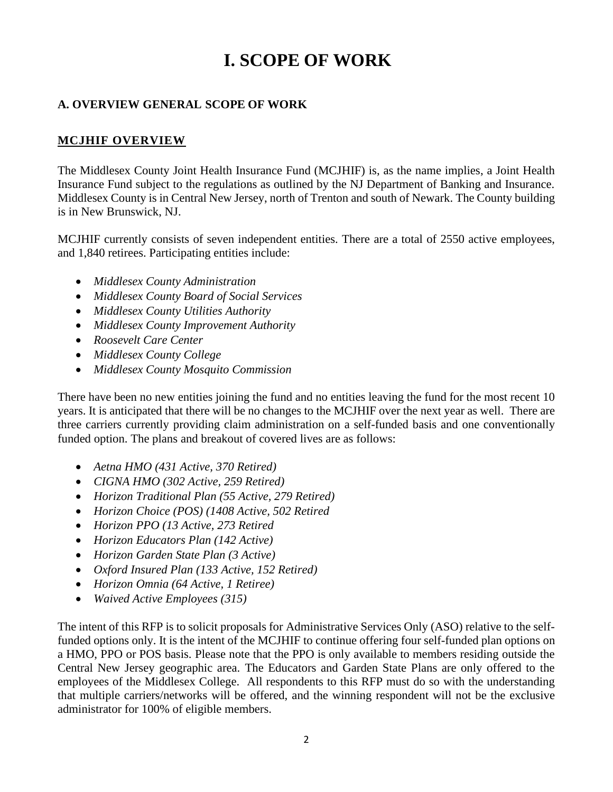# **I. SCOPE OF WORK**

# **A. OVERVIEW GENERAL SCOPE OF WORK**

# **MCJHIF OVERVIEW**

The Middlesex County Joint Health Insurance Fund (MCJHIF) is, as the name implies, a Joint Health Insurance Fund subject to the regulations as outlined by the NJ Department of Banking and Insurance. Middlesex County is in Central New Jersey, north of Trenton and south of Newark. The County building is in New Brunswick, NJ.

MCJHIF currently consists of seven independent entities. There are a total of 2550 active employees, and 1,840 retirees. Participating entities include:

- *Middlesex County Administration*
- *Middlesex County Board of Social Services*
- *Middlesex County Utilities Authority*
- *Middlesex County Improvement Authority*
- *Roosevelt Care Center*
- *Middlesex County College*
- *Middlesex County Mosquito Commission*

There have been no new entities joining the fund and no entities leaving the fund for the most recent 10 years. It is anticipated that there will be no changes to the MCJHIF over the next year as well. There are three carriers currently providing claim administration on a self-funded basis and one conventionally funded option. The plans and breakout of covered lives are as follows:

- *Aetna HMO (431 Active, 370 Retired)*
- *CIGNA HMO (302 Active, 259 Retired)*
- *Horizon Traditional Plan (55 Active, 279 Retired)*
- *Horizon Choice (POS) (1408 Active, 502 Retired*
- *Horizon PPO (13 Active, 273 Retired*
- *Horizon Educators Plan (142 Active)*
- *Horizon Garden State Plan (3 Active)*
- *Oxford Insured Plan (133 Active, 152 Retired)*
- *Horizon Omnia (64 Active, 1 Retiree)*
- *Waived Active Employees (315)*

The intent of this RFP is to solicit proposals for Administrative Services Only (ASO) relative to the selffunded options only. It is the intent of the MCJHIF to continue offering four self-funded plan options on a HMO, PPO or POS basis. Please note that the PPO is only available to members residing outside the Central New Jersey geographic area. The Educators and Garden State Plans are only offered to the employees of the Middlesex College. All respondents to this RFP must do so with the understanding that multiple carriers/networks will be offered, and the winning respondent will not be the exclusive administrator for 100% of eligible members.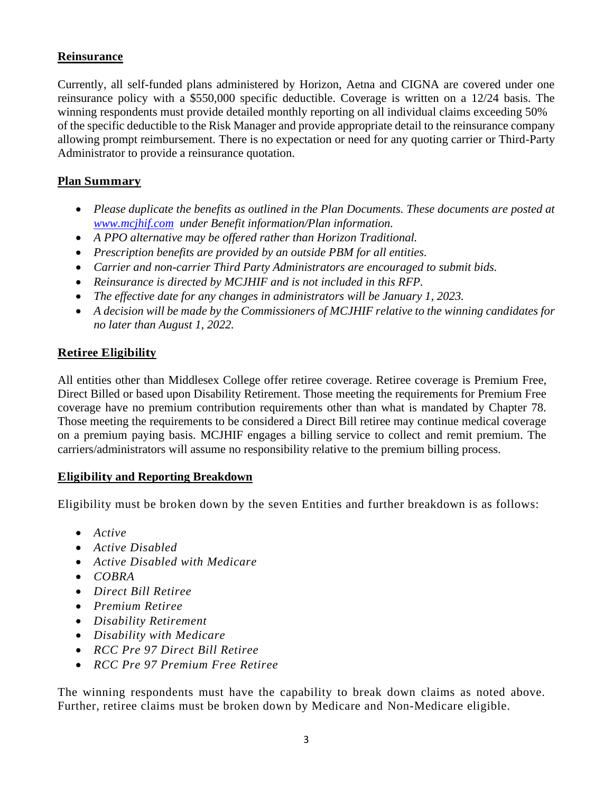# **Reinsurance**

Currently, all self-funded plans administered by Horizon, Aetna and CIGNA are covered under one reinsurance policy with a \$550,000 specific deductible. Coverage is written on a 12/24 basis. The winning respondents must provide detailed monthly reporting on all individual claims exceeding 50% of the specific deductible to the Risk Manager and provide appropriate detail to the reinsurance company allowing prompt reimbursement. There is no expectation or need for any quoting carrier or Third-Party Administrator to provide a reinsurance quotation.

# **Plan Summary**

- *Please duplicate the benefits as outlined in the Plan Documents. These documents are posted at [www.mcjhif.com](http://www.mcjhif.com/) under Benefit information/Plan information.*
- *A PPO alternative may be offered rather than Horizon Traditional.*
- *Prescription benefits are provided by an outside PBM for all entities.*
- *Carrier and non-carrier Third Party Administrators are encouraged to submit bids.*
- *Reinsurance is directed by MCJHIF and is not included in this RFP.*
- *The effective date for any changes in administrators will be January 1, 2023.*
- *A decision will be made by the Commissioners of MCJHIF relative to the winning candidates for no later than August 1, 2022.*

# **Retiree Eligibility**

All entities other than Middlesex College offer retiree coverage. Retiree coverage is Premium Free, Direct Billed or based upon Disability Retirement. Those meeting the requirements for Premium Free coverage have no premium contribution requirements other than what is mandated by Chapter 78. Those meeting the requirements to be considered a Direct Bill retiree may continue medical coverage on a premium paying basis. MCJHIF engages a billing service to collect and remit premium. The carriers/administrators will assume no responsibility relative to the premium billing process.

# **Eligibility and Reporting Breakdown**

Eligibility must be broken down by the seven Entities and further breakdown is as follows:

- *Active*
- *Active Disabled*
- *Active Disabled with Medicare*
- *COBRA*
- *Direct Bill Retiree*
- *Premium Retiree*
- *Disability Retirement*
- *Disability with Medicare*
- *RCC Pre 97 Direct Bill Retiree*
- *RCC Pre 97 Premium Free Retiree*

The winning respondents must have the capability to break down claims as noted above. Further, retiree claims must be broken down by Medicare and Non-Medicare eligible.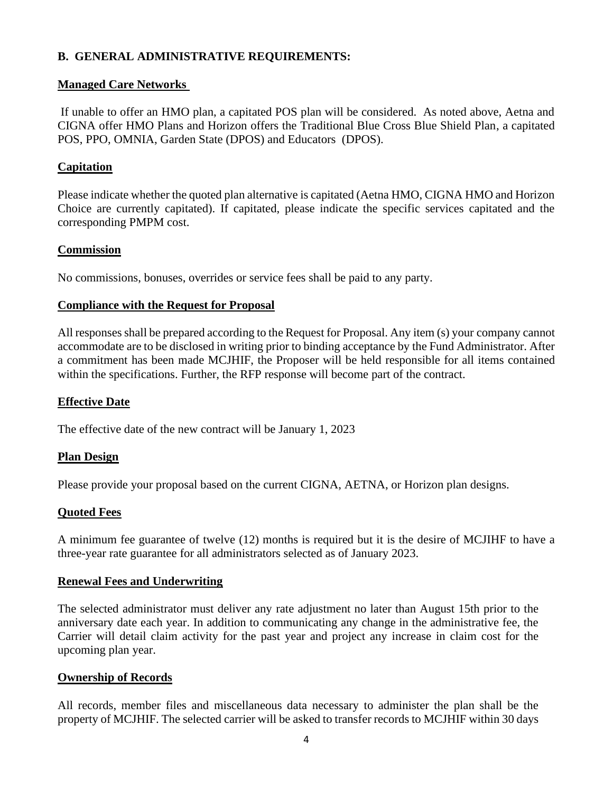## **B. GENERAL ADMINISTRATIVE REQUIREMENTS:**

### **Managed Care Networks**

If unable to offer an HMO plan, a capitated POS plan will be considered. As noted above, Aetna and CIGNA offer HMO Plans and Horizon offers the Traditional Blue Cross Blue Shield Plan, a capitated POS, PPO, OMNIA, Garden State (DPOS) and Educators (DPOS).

### **Capitation**

Please indicate whether the quoted plan alternative is capitated (Aetna HMO, CIGNA HMO and Horizon Choice are currently capitated). If capitated, please indicate the specific services capitated and the corresponding PMPM cost.

### **Commission**

No commissions, bonuses, overrides or service fees shall be paid to any party.

### **Compliance with the Request for Proposal**

All responses shall be prepared according to the Request for Proposal. Any item (s) your company cannot accommodate are to be disclosed in writing prior to binding acceptance by the Fund Administrator. After a commitment has been made MCJHIF, the Proposer will be held responsible for all items contained within the specifications. Further, the RFP response will become part of the contract.

### **Effective Date**

The effective date of the new contract will be January 1, 2023

# **Plan Design**

Please provide your proposal based on the current CIGNA, AETNA, or Horizon plan designs.

### **Quoted Fees**

A minimum fee guarantee of twelve (12) months is required but it is the desire of MCJIHF to have a three-year rate guarantee for all administrators selected as of January 2023.

### **Renewal Fees and Underwriting**

The selected administrator must deliver any rate adjustment no later than August 15th prior to the anniversary date each year. In addition to communicating any change in the administrative fee, the Carrier will detail claim activity for the past year and project any increase in claim cost for the upcoming plan year.

### **Ownership of Records**

All records, member files and miscellaneous data necessary to administer the plan shall be the property of MCJHIF. The selected carrier will be asked to transfer records to MCJHIF within 30 days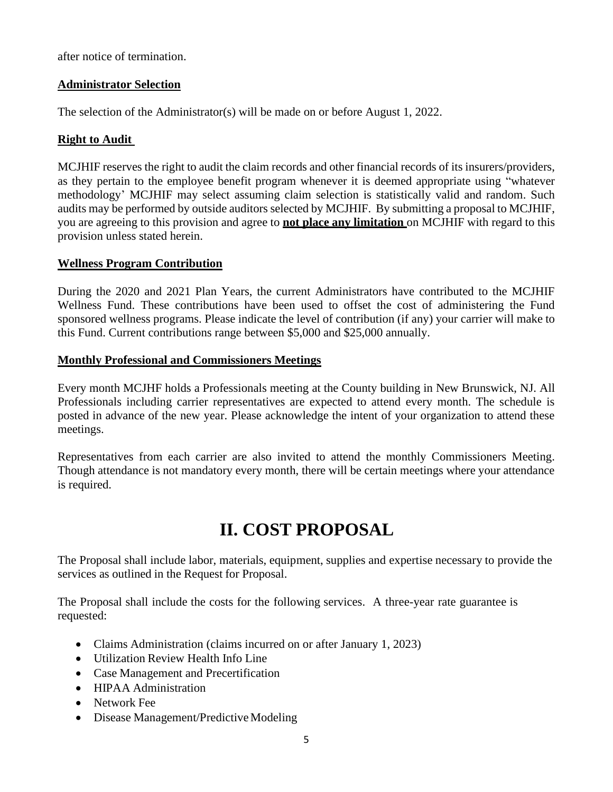after notice of termination.

### **Administrator Selection**

The selection of the Administrator(s) will be made on or before August 1, 2022.

## **Right to Audit**

MCJHIF reserves the right to audit the claim records and other financial records of its insurers/providers, as they pertain to the employee benefit program whenever it is deemed appropriate using "whatever methodology' MCJHIF may select assuming claim selection is statistically valid and random. Such audits may be performed by outside auditors selected by MCJHIF. By submitting a proposal to MCJHIF, you are agreeing to this provision and agree to **not place any limitation** on MCJHIF with regard to this provision unless stated herein.

### **Wellness Program Contribution**

During the 2020 and 2021 Plan Years, the current Administrators have contributed to the MCJHIF Wellness Fund. These contributions have been used to offset the cost of administering the Fund sponsored wellness programs. Please indicate the level of contribution (if any) your carrier will make to this Fund. Current contributions range between \$5,000 and \$25,000 annually.

### **Monthly Professional and Commissioners Meetings**

Every month MCJHF holds a Professionals meeting at the County building in New Brunswick, NJ. All Professionals including carrier representatives are expected to attend every month. The schedule is posted in advance of the new year. Please acknowledge the intent of your organization to attend these meetings.

Representatives from each carrier are also invited to attend the monthly Commissioners Meeting. Though attendance is not mandatory every month, there will be certain meetings where your attendance is required.

# **II. COST PROPOSAL**

The Proposal shall include labor, materials, equipment, supplies and expertise necessary to provide the services as outlined in the Request for Proposal.

The Proposal shall include the costs for the following services. A three-year rate guarantee is requested:

- Claims Administration (claims incurred on or after January 1, 2023)
- Utilization Review Health Info Line
- Case Management and Precertification
- HIPAA Administration
- Network Fee
- Disease Management/Predictive Modeling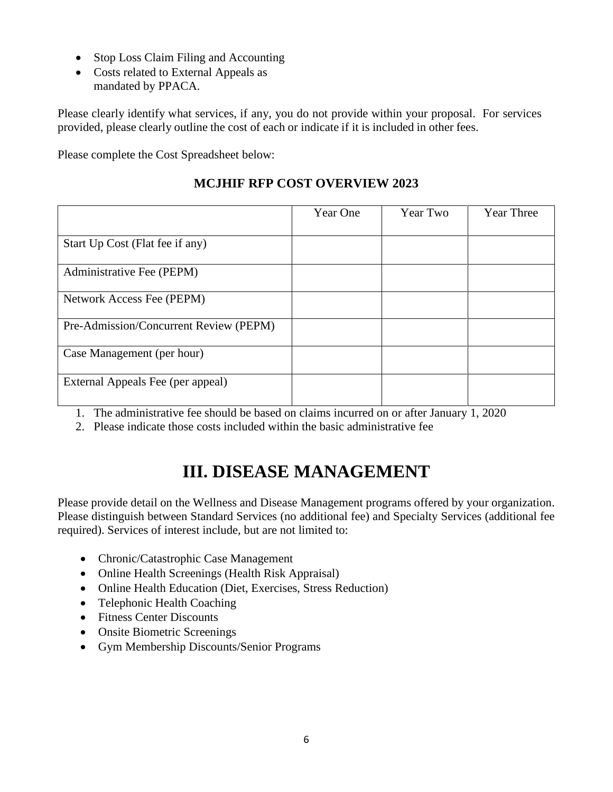- Stop Loss Claim Filing and Accounting
- Costs related to External Appeals as mandated by PPACA.

Please clearly identify what services, if any, you do not provide within your proposal. For services provided, please clearly outline the cost of each or indicate if it is included in other fees.

Please complete the Cost Spreadsheet below:

|                                        | Year One | Year Two | Year Three |
|----------------------------------------|----------|----------|------------|
| Start Up Cost (Flat fee if any)        |          |          |            |
| Administrative Fee (PEPM)              |          |          |            |
| Network Access Fee (PEPM)              |          |          |            |
| Pre-Admission/Concurrent Review (PEPM) |          |          |            |
| Case Management (per hour)             |          |          |            |
| External Appeals Fee (per appeal)      |          |          |            |

- 1. The administrative fee should be based on claims incurred on or after January 1, 2020
- 2. Please indicate those costs included within the basic administrative fee

# **III. DISEASE MANAGEMENT**

Please provide detail on the Wellness and Disease Management programs offered by your organization. Please distinguish between Standard Services (no additional fee) and Specialty Services (additional fee required). Services of interest include, but are not limited to:

- Chronic/Catastrophic Case Management
- Online Health Screenings (Health Risk Appraisal)
- Online Health Education (Diet, Exercises, Stress Reduction)
- Telephonic Health Coaching
- Fitness Center Discounts
- Onsite Biometric Screenings
- Gym Membership Discounts/Senior Programs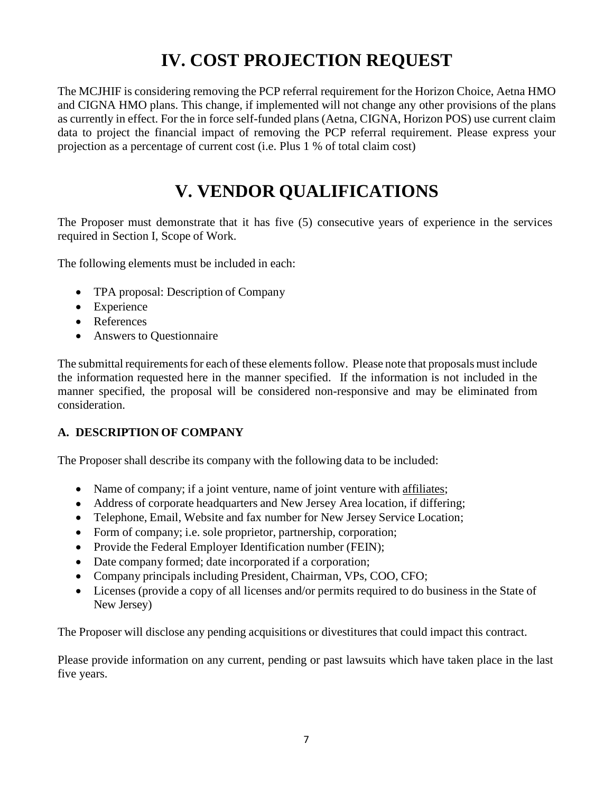# **IV. COST PROJECTION REQUEST**

The MCJHIF is considering removing the PCP referral requirement for the Horizon Choice, Aetna HMO and CIGNA HMO plans. This change, if implemented will not change any other provisions of the plans as currently in effect. For the in force self-funded plans (Aetna, CIGNA, Horizon POS) use current claim data to project the financial impact of removing the PCP referral requirement. Please express your projection as a percentage of current cost (i.e. Plus 1 % of total claim cost)

# **V. VENDOR QUALIFICATIONS**

The Proposer must demonstrate that it has five (5) consecutive years of experience in the services required in Section I, Scope of Work.

The following elements must be included in each:

- TPA proposal: Description of Company
- Experience
- References
- Answers to Questionnaire

The submittal requirements for each of these elements follow. Please note that proposals must include the information requested here in the manner specified. If the information is not included in the manner specified, the proposal will be considered non-responsive and may be eliminated from consideration.

# **A. DESCRIPTION OF COMPANY**

The Proposer shall describe its company with the following data to be included:

- Name of company; if a joint venture, name of joint venture with [affiliates;](https://naimc-my.sharepoint.com/:x:/p/d_hissey/Eb1N6MYTkJNFkt5QP7YVA44B6JuA8YD3d8z3TPpE9SV_lw)
- Address of corporate headquarters and New Jersey Area location, if differing;
- Telephone, Email, Website and fax number for New Jersey Service Location;
- Form of company; i.e. sole proprietor, partnership, corporation;
- Provide the Federal Employer Identification number (FEIN);
- Date company formed; date incorporated if a corporation;
- Company principals including President, Chairman, VPs, COO, CFO;
- Licenses (provide a copy of all licenses and/or permits required to do business in the State of New Jersey)

The Proposer will disclose any pending acquisitions or divestitures that could impact this contract.

Please provide information on any current, pending or past lawsuits which have taken place in the last five years.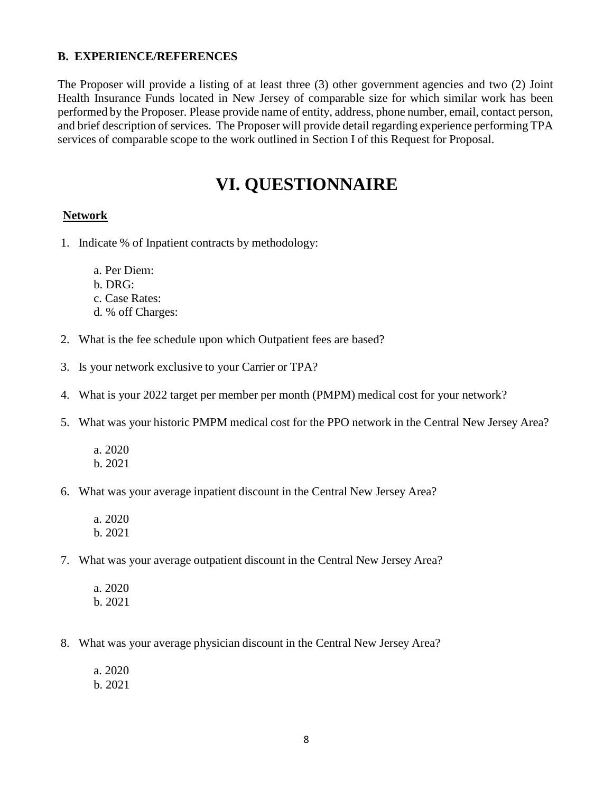### **B. EXPERIENCE/REFERENCES**

The Proposer will provide a listing of at least three (3) other government agencies and two (2) Joint Health Insurance Funds located in New Jersey of comparable size for which similar work has been performed by the Proposer. Please provide name of entity, address, phone number, email, contact person, and brief description of services. The Proposer will provide detail regarding experience performing TPA services of comparable scope to the work outlined in Section I of this Request for Proposal.

# **VI. QUESTIONNAIRE**

### **Network**

- 1. Indicate % of Inpatient contracts by methodology:
	- a. Per Diem:
	- b. DRG:
	- c. Case Rates:
	- d. % off Charges:
- 2. What is the fee schedule upon which Outpatient fees are based?
- 3. Is your network exclusive to your Carrier or TPA?
- 4. What is your 2022 target per member per month (PMPM) medical cost for your network?
- 5. What was your historic PMPM medical cost for the PPO network in the Central New Jersey Area?
	- a. 2020 b. 2021
- 6. What was your average inpatient discount in the Central New Jersey Area?
	- a. 2020 b. 2021
- 7. What was your average outpatient discount in the Central New Jersey Area?
	- a. 2020 b. 2021
- 8. What was your average physician discount in the Central New Jersey Area?
	- a. 2020
	- b. 2021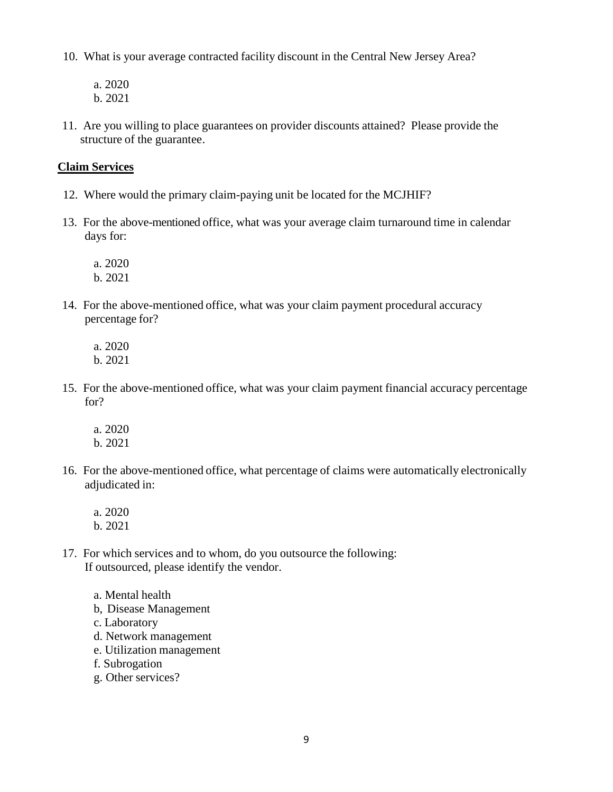- 10. What is your average contracted facility discount in the Central New Jersey Area?
	- a. 2020 b. 2021
- 11. Are you willing to place guarantees on provider discounts attained? Please provide the structure of the guarantee.

### **Claim Services**

- 12. Where would the primary claim-paying unit be located for the MCJHIF?
- 13. For the above-mentioned office, what was your average claim turnaround time in calendar days for:

a. 2020 b. 2021

14. For the above-mentioned office, what was your claim payment procedural accuracy percentage for?

a. 2020 b. 2021

- 15. For the above-mentioned office, what was your claim payment financial accuracy percentage for?
	- a. 2020
	- b. 2021
- 16. For the above-mentioned office, what percentage of claims were automatically electronically adjudicated in:
	- a. 2020 b. 2021
- 17. For which services and to whom, do you outsource the following: If outsourced, please identify the vendor.
	- a. Mental health
	- b, Disease Management
	- c. Laboratory
	- d. Network management
	- e. Utilization management
	- f. Subrogation
	- g. Other services?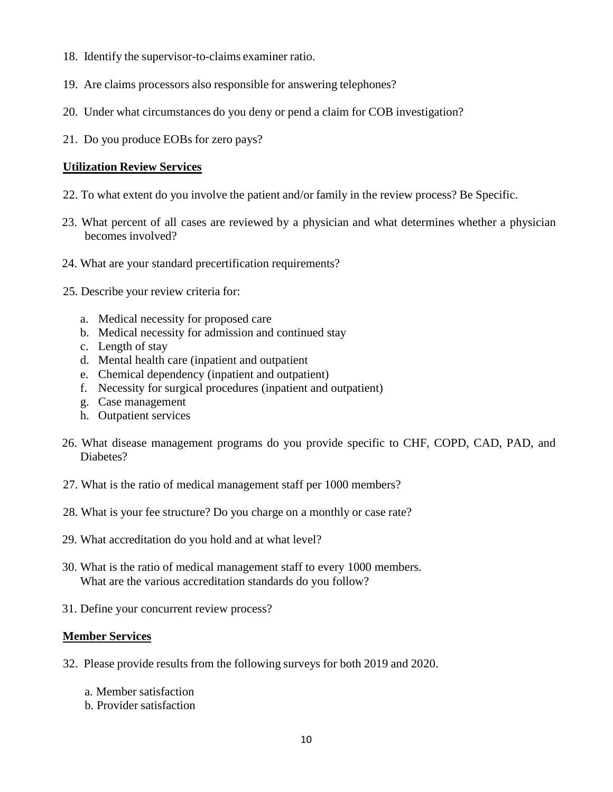- 18. Identify the supervisor-to-claims examiner ratio.
- 19. Are claims processors also responsible for answering telephones?
- 20. Under what circumstances do you deny or pend a claim for COB investigation?
- 21. Do you produce EOBs for zero pays?

### **Utilization Review Services**

- 22. To what extent do you involve the patient and/or family in the review process? Be Specific.
- 23. What percent of all cases are reviewed by a physician and what determines whether a physician becomes involved?
- 24. What are your standard precertification requirements?
- 25. Describe your review criteria for:
	- a. Medical necessity for proposed care
	- b. Medical necessity for admission and continued stay
	- c. Length of stay
	- d. Mental health care (inpatient and outpatient
	- e. Chemical dependency (inpatient and outpatient)
	- f. Necessity for surgical procedures (inpatient and outpatient)
	- g. Case management
	- h. Outpatient services
- 26. What disease management programs do you provide specific to CHF, COPD, CAD, PAD, and Diabetes?
- 27. What is the ratio of medical management staff per 1000 members?
- 28. What is your fee structure? Do you charge on a monthly or case rate?
- 29. What accreditation do you hold and at what level?
- 30. What is the ratio of medical management staff to every 1000 members. What are the various accreditation standards do you follow?
- 31. Define your concurrent review process?

#### **Member Services**

- 32. Please provide results from the following surveys for both 2019 and 2020.
	- a. Member satisfaction
	- b. Provider satisfaction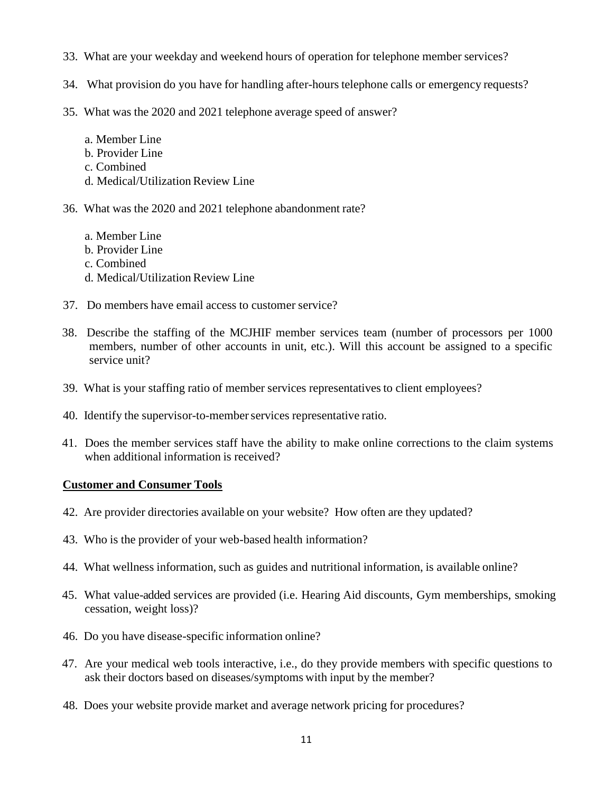- 33. What are your weekday and weekend hours of operation for telephone member services?
- 34. What provision do you have for handling after-hours telephone calls or emergency requests?
- 35. What was the 2020 and 2021 telephone average speed of answer?
	- a. Member Line b. Provider Line c. Combined d. Medical/Utilization Review Line
- 36. What was the 2020 and 2021 telephone abandonment rate?
	- a. Member Line b. Provider Line c. Combined d. Medical/Utilization Review Line
- 37. Do members have email access to customer service?
- 38. Describe the staffing of the MCJHIF member services team (number of processors per 1000 members, number of other accounts in unit, etc.). Will this account be assigned to a specific service unit?
- 39. What is your staffing ratio of member services representatives to client employees?
- 40. Identify the supervisor-to-member services representative ratio.
- 41. Does the member services staff have the ability to make online corrections to the claim systems when additional information is received?

# **Customer and Consumer Tools**

- 42. Are provider directories available on your website? How often are they updated?
- 43. Who is the provider of your web-based health information?
- 44. What wellness information, such as guides and nutritional information, is available online?
- 45. What value-added services are provided (i.e. Hearing Aid discounts, Gym memberships, smoking cessation, weight loss)?
- 46. Do you have disease-specific information online?
- 47. Are your medical web tools interactive, i.e., do they provide members with specific questions to ask their doctors based on diseases/symptoms with input by the member?
- 48. Does your website provide market and average network pricing for procedures?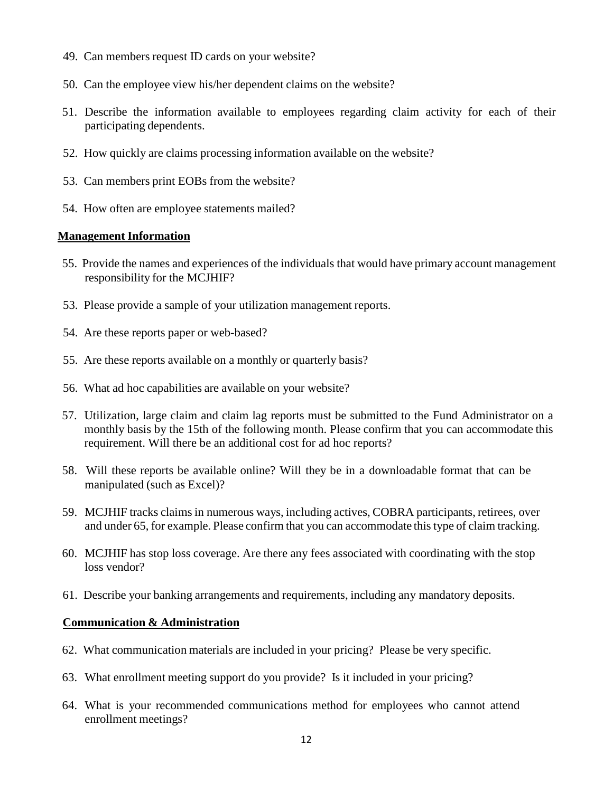- 49. Can members request ID cards on your website?
- 50. Can the employee view his/her dependent claims on the website?
- 51. Describe the information available to employees regarding claim activity for each of their participating dependents.
- 52. How quickly are claims processing information available on the website?
- 53. Can members print EOBs from the website?
- 54. How often are employee statements mailed?

### **Management Information**

- 55. Provide the names and experiences of the individuals that would have primary account management responsibility for the MCJHIF?
- 53. Please provide a sample of your utilization management reports.
- 54. Are these reports paper or web-based?
- 55. Are these reports available on a monthly or quarterly basis?
- 56. What ad hoc capabilities are available on your website?
- 57. Utilization, large claim and claim lag reports must be submitted to the Fund Administrator on a monthly basis by the 15th of the following month. Please confirm that you can accommodate this requirement. Will there be an additional cost for ad hoc reports?
- 58. Will these reports be available online? Will they be in a downloadable format that can be manipulated (such as Excel)?
- 59. MCJHIF tracks claims in numerous ways, including actives, COBRA participants, retirees, over and under 65, for example. Please confirm that you can accommodate this type of claim tracking.
- 60. MCJHIF has stop loss coverage. Are there any fees associated with coordinating with the stop loss vendor?
- 61. Describe your banking arrangements and requirements, including any mandatory deposits.

#### **Communication & Administration**

- 62. What communication materials are included in your pricing? Please be very specific.
- 63. What enrollment meeting support do you provide? Is it included in your pricing?
- 64. What is your recommended communications method for employees who cannot attend enrollment meetings?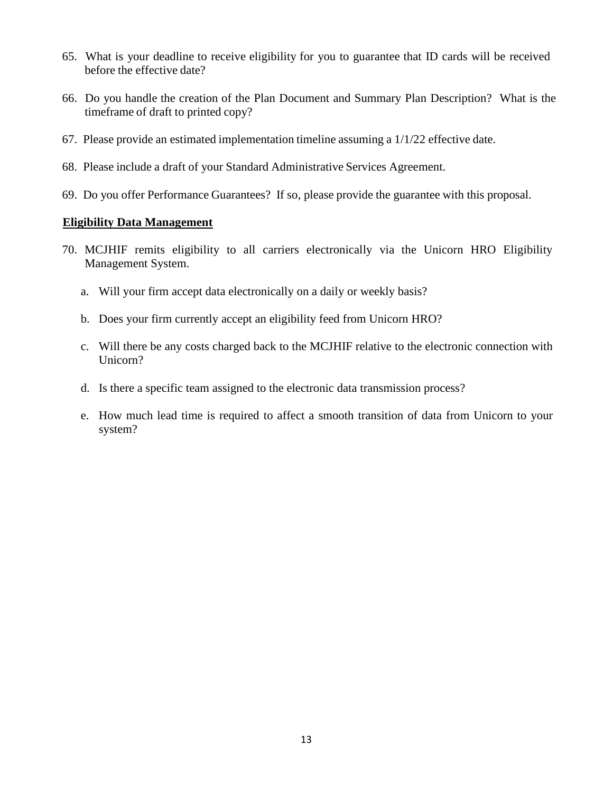- 65. What is your deadline to receive eligibility for you to guarantee that ID cards will be received before the effective date?
- 66. Do you handle the creation of the Plan Document and Summary Plan Description? What is the timeframe of draft to printed copy?
- 67. Please provide an estimated implementation timeline assuming a 1/1/22 effective date.
- 68. Please include a draft of your Standard Administrative Services Agreement.
- 69. Do you offer Performance Guarantees? If so, please provide the guarantee with this proposal.

### **Eligibility Data Management**

- 70. MCJHIF remits eligibility to all carriers electronically via the Unicorn HRO Eligibility Management System.
	- a. Will your firm accept data electronically on a daily or weekly basis?
	- b. Does your firm currently accept an eligibility feed from Unicorn HRO?
	- c. Will there be any costs charged back to the MCJHIF relative to the electronic connection with Unicorn?
	- d. Is there a specific team assigned to the electronic data transmission process?
	- e. How much lead time is required to affect a smooth transition of data from Unicorn to your system?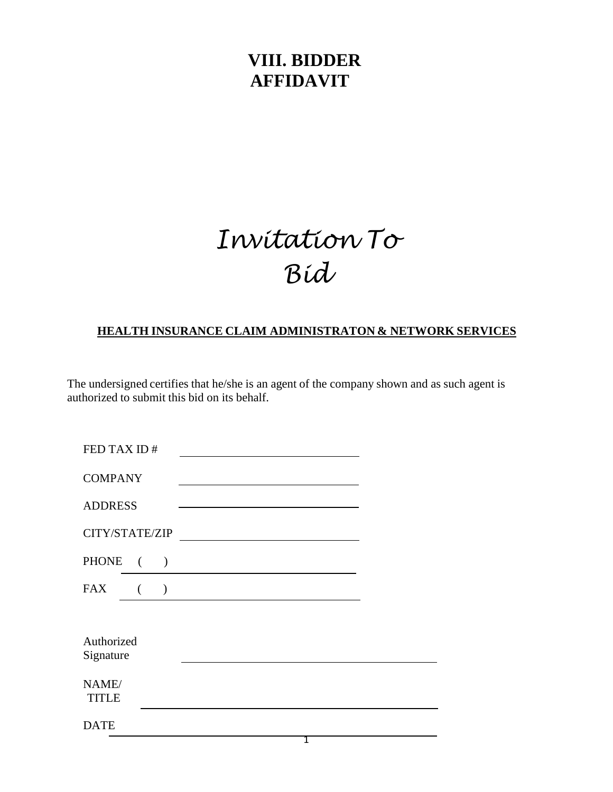# **VIII. BIDDER AFFIDAVIT**

# *Invitation To Bid*

# **HEALTH INSURANCE CLAIM ADMINISTRATON & NETWORK SERVICES**

The undersigned certifies that he/she is an agent of the company shown and as such agent is authorized to submit this bid on its behalf.

| FED TAX ID#                                                                                  |  |
|----------------------------------------------------------------------------------------------|--|
| <b>COMPANY</b>                                                                               |  |
| <b>ADDRESS</b><br>the control of the control of the control of the control of the control of |  |
| CITY/STATE/ZIP                                                                               |  |
| PHONE (<br>$\lambda$                                                                         |  |
| <b>FAX</b><br>$\left($<br>$\lambda$                                                          |  |
|                                                                                              |  |
| Authorized<br>Signature                                                                      |  |
| NAME/<br><b>TITLE</b>                                                                        |  |
| <b>DATE</b>                                                                                  |  |
|                                                                                              |  |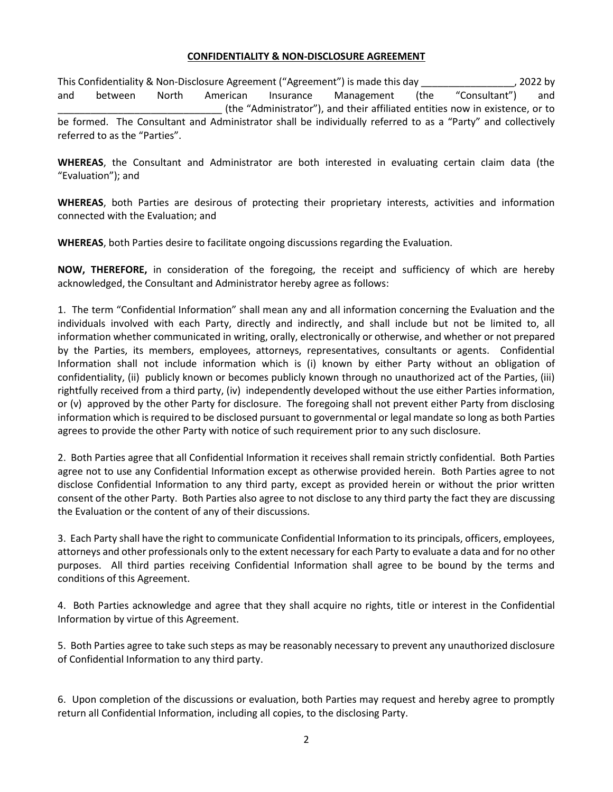#### **CONFIDENTIALITY & NON-DISCLOSURE AGREEMENT**

This Confidentiality & Non-Disclosure Agreement ("Agreement") is made this day \_\_\_\_\_\_\_\_\_\_\_\_\_\_\_\_\_, 2022 by and between North American Insurance Management (the "Consultant") and \_\_\_\_\_\_\_\_\_\_\_\_\_\_\_\_\_\_\_\_\_\_\_\_\_\_\_\_\_\_ (the "Administrator"), and their affiliated entities now in existence, or to be formed. The Consultant and Administrator shall be individually referred to as a "Party" and collectively referred to as the "Parties".

**WHEREAS**, the Consultant and Administrator are both interested in evaluating certain claim data (the "Evaluation"); and

**WHEREAS**, both Parties are desirous of protecting their proprietary interests, activities and information connected with the Evaluation; and

**WHEREAS**, both Parties desire to facilitate ongoing discussions regarding the Evaluation.

**NOW, THEREFORE,** in consideration of the foregoing, the receipt and sufficiency of which are hereby acknowledged, the Consultant and Administrator hereby agree as follows:

1. The term "Confidential Information" shall mean any and all information concerning the Evaluation and the individuals involved with each Party, directly and indirectly, and shall include but not be limited to, all information whether communicated in writing, orally, electronically or otherwise, and whether or not prepared by the Parties, its members, employees, attorneys, representatives, consultants or agents. Confidential Information shall not include information which is (i) known by either Party without an obligation of confidentiality, (ii) publicly known or becomes publicly known through no unauthorized act of the Parties, (iii) rightfully received from a third party, (iv) independently developed without the use either Parties information, or (v) approved by the other Party for disclosure. The foregoing shall not prevent either Party from disclosing information which is required to be disclosed pursuant to governmental or legal mandate so long as both Parties agrees to provide the other Party with notice of such requirement prior to any such disclosure.

2. Both Parties agree that all Confidential Information it receives shall remain strictly confidential. Both Parties agree not to use any Confidential Information except as otherwise provided herein. Both Parties agree to not disclose Confidential Information to any third party, except as provided herein or without the prior written consent of the other Party. Both Parties also agree to not disclose to any third party the fact they are discussing the Evaluation or the content of any of their discussions.

3. Each Party shall have the right to communicate Confidential Information to its principals, officers, employees, attorneys and other professionals only to the extent necessary for each Party to evaluate a data and for no other purposes. All third parties receiving Confidential Information shall agree to be bound by the terms and conditions of this Agreement.

4. Both Parties acknowledge and agree that they shall acquire no rights, title or interest in the Confidential Information by virtue of this Agreement.

5. Both Parties agree to take such steps as may be reasonably necessary to prevent any unauthorized disclosure of Confidential Information to any third party.

6. Upon completion of the discussions or evaluation, both Parties may request and hereby agree to promptly return all Confidential Information, including all copies, to the disclosing Party.